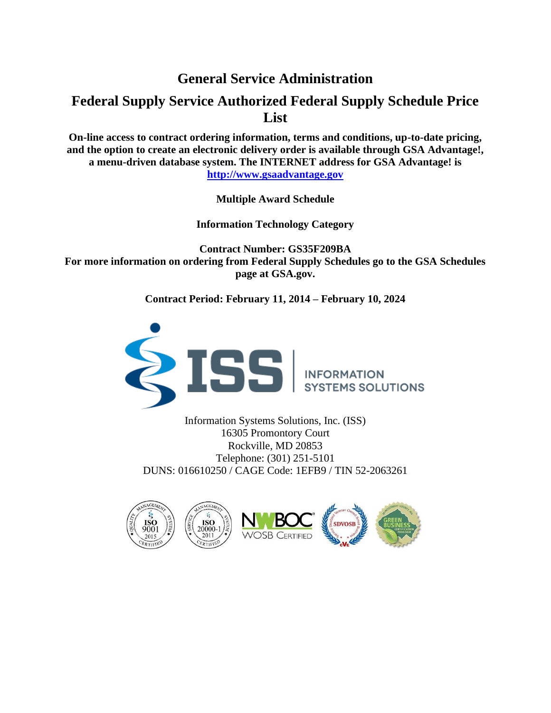# **General Service Administration**

# **Federal Supply Service Authorized Federal Supply Schedule Price List**

**On-line access to contract ordering information, terms and conditions, up-to-date pricing, and the option to create an electronic delivery order is available through GSA Advantage!, a menu-driven database system. The INTERNET address for GSA Advantage! is http://www.gsaadvantage.gov**

**Multiple Award Schedule**

**Information Technology Category**

**Contract Number: GS35F209BA For more information on ordering from Federal Supply Schedules go to the GSA Schedules page at GSA.gov.** 

**Contract Period: February 11, 2014 – February 10, 2024**



Information Systems Solutions, Inc. (ISS) 16305 Promontory Court Rockville, MD 20853 Telephone: (301) 251-5101 DUNS: 016610250 / CAGE Code: 1EFB9 / TIN 52-2063261







**SDVOSB**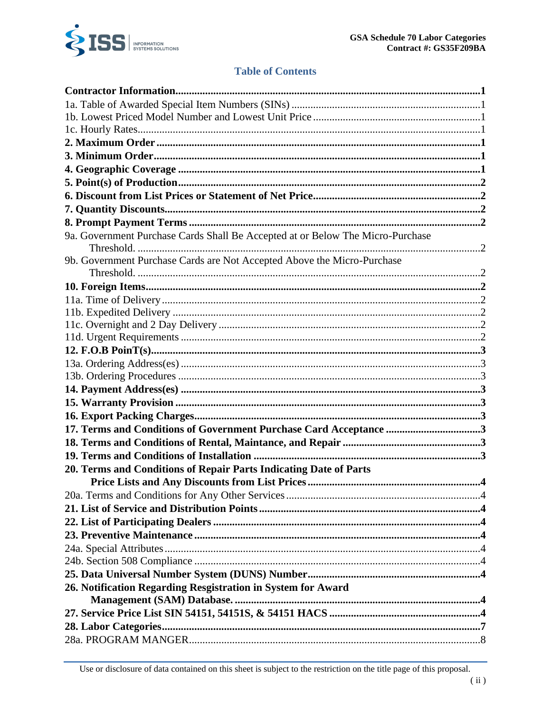

# **Table of Contents**

| 9a. Government Purchase Cards Shall Be Accepted at or Below The Micro-Purchase |  |
|--------------------------------------------------------------------------------|--|
|                                                                                |  |
| 9b. Government Purchase Cards are Not Accepted Above the Micro-Purchase        |  |
|                                                                                |  |
|                                                                                |  |
|                                                                                |  |
|                                                                                |  |
|                                                                                |  |
|                                                                                |  |
|                                                                                |  |
|                                                                                |  |
|                                                                                |  |
|                                                                                |  |
|                                                                                |  |
| 17. Terms and Conditions of Government Purchase Card Acceptance 3              |  |
|                                                                                |  |
|                                                                                |  |
| 20. Terms and Conditions of Repair Parts Indicating Date of Parts              |  |
|                                                                                |  |
|                                                                                |  |
|                                                                                |  |
|                                                                                |  |
|                                                                                |  |
|                                                                                |  |
|                                                                                |  |
|                                                                                |  |
| 26. Notification Regarding Resgistration in System for Award                   |  |
|                                                                                |  |
|                                                                                |  |
|                                                                                |  |
|                                                                                |  |
|                                                                                |  |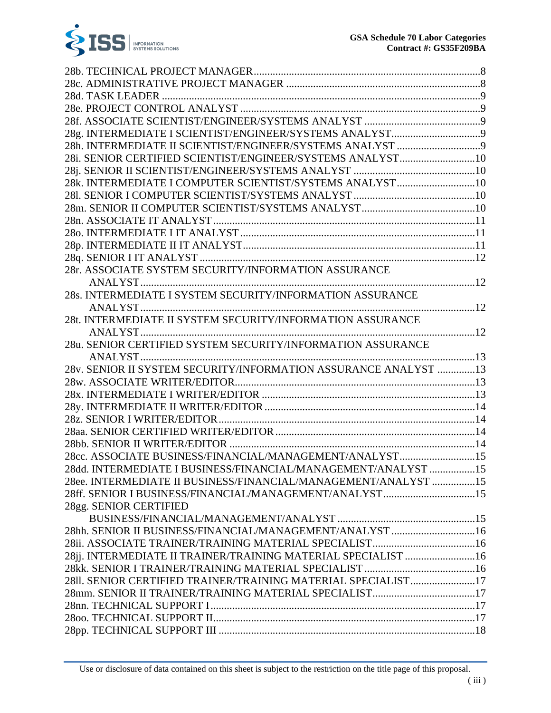

| 28i. SENIOR CERTIFIED SCIENTIST/ENGINEER/SYSTEMS ANALYST10      |  |
|-----------------------------------------------------------------|--|
|                                                                 |  |
| 28k. INTERMEDIATE I COMPUTER SCIENTIST/SYSTEMS ANALYST10        |  |
|                                                                 |  |
|                                                                 |  |
|                                                                 |  |
|                                                                 |  |
|                                                                 |  |
|                                                                 |  |
| 28r. ASSOCIATE SYSTEM SECURITY/INFORMATION ASSURANCE            |  |
|                                                                 |  |
| 28s. INTERMEDIATE I SYSTEM SECURITY/INFORMATION ASSURANCE       |  |
|                                                                 |  |
| 28t. INTERMEDIATE II SYSTEM SECURITY/INFORMATION ASSURANCE      |  |
|                                                                 |  |
| 28u. SENIOR CERTIFIED SYSTEM SECURITY/INFORMATION ASSURANCE     |  |
|                                                                 |  |
| 28v. SENIOR II SYSTEM SECURITY/INFORMATION ASSURANCE ANALYST 13 |  |
|                                                                 |  |
|                                                                 |  |
|                                                                 |  |
|                                                                 |  |
|                                                                 |  |
|                                                                 |  |
| 28cc. ASSOCIATE BUSINESS/FINANCIAL/MANAGEMENT/ANALYST15         |  |
| 28dd. INTERMEDIATE I BUSINESS/FINANCIAL/MANAGEMENT/ANALYST 15   |  |
| 28ee. INTERMEDIATE II BUSINESS/FINANCIAL/MANAGEMENT/ANALYST 15  |  |
| 28ff. SENIOR I BUSINESS/FINANCIAL/MANAGEMENT/ANALYST15          |  |
| 28gg. SENIOR CERTIFIED                                          |  |
|                                                                 |  |
| 28hh. SENIOR II BUSINESS/FINANCIAL/MANAGEMENT/ANALYST 16        |  |
|                                                                 |  |
| 28jj. INTERMEDIATE II TRAINER/TRAINING MATERIAL SPECIALIST 16   |  |
|                                                                 |  |
| 2811. SENIOR CERTIFIED TRAINER/TRAINING MATERIAL SPECIALIST17   |  |
| 28mm. SENIOR II TRAINER/TRAINING MATERIAL SPECIALIST17          |  |
|                                                                 |  |
|                                                                 |  |
|                                                                 |  |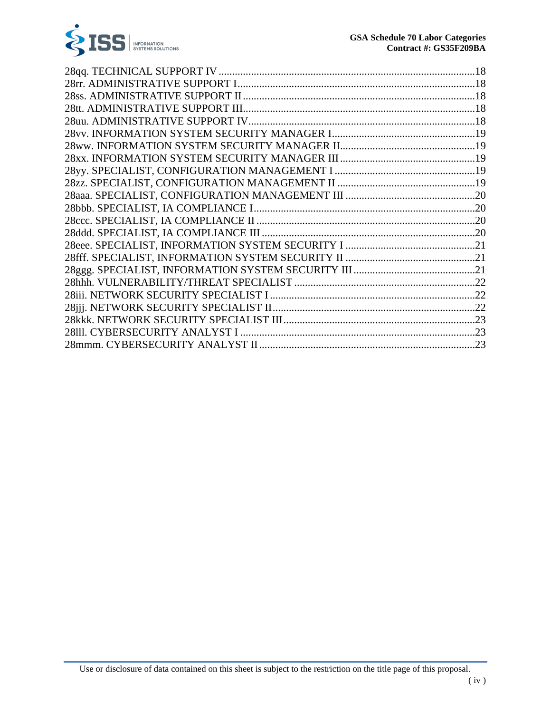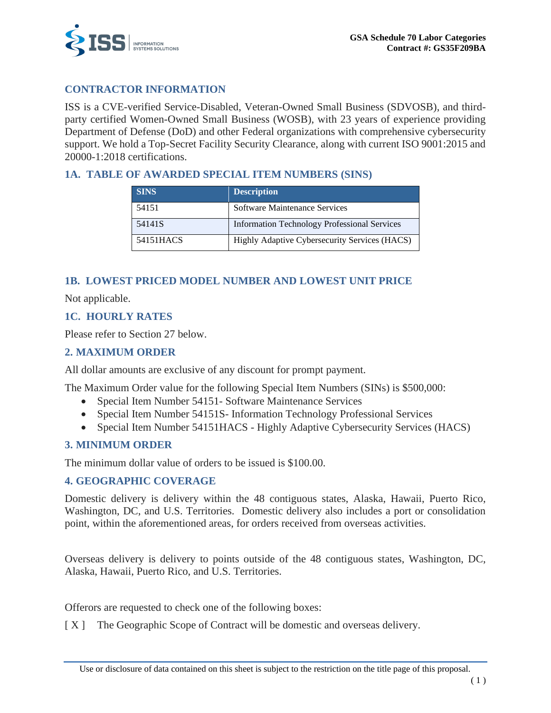

# **CONTRACTOR INFORMATION**

ISS is a CVE-verified Service-Disabled, Veteran-Owned Small Business (SDVOSB), and thirdparty certified Women-Owned Small Business (WOSB), with 23 years of experience providing Department of Defense (DoD) and other Federal organizations with comprehensive cybersecurity support. We hold a Top-Secret Facility Security Clearance, along with current ISO 9001:2015 and 20000-1:2018 certifications.

### **1A. TABLE OF AWARDED SPECIAL ITEM NUMBERS (SINS)**

| <b>SINS</b> | <b>Description</b>                                  |
|-------------|-----------------------------------------------------|
| 54151       | Software Maintenance Services                       |
| 54141S      | <b>Information Technology Professional Services</b> |
| 54151HACS   | Highly Adaptive Cybersecurity Services (HACS)       |

### **1B. LOWEST PRICED MODEL NUMBER AND LOWEST UNIT PRICE**

Not applicable.

### **1C. HOURLY RATES**

Please refer to Section 27 below.

### **2. MAXIMUM ORDER**

All dollar amounts are exclusive of any discount for prompt payment.

The Maximum Order value for the following Special Item Numbers (SINs) is \$500,000:

- Special Item Number 54151- Software Maintenance Services
- Special Item Number 54151S- Information Technology Professional Services
- Special Item Number 54151HACS Highly Adaptive Cybersecurity Services (HACS)

### **3. MINIMUM ORDER**

The minimum dollar value of orders to be issued is \$100.00.

### **4. GEOGRAPHIC COVERAGE**

Domestic delivery is delivery within the 48 contiguous states, Alaska, Hawaii, Puerto Rico, Washington, DC, and U.S. Territories. Domestic delivery also includes a port or consolidation point, within the aforementioned areas, for orders received from overseas activities.

Overseas delivery is delivery to points outside of the 48 contiguous states, Washington, DC, Alaska, Hawaii, Puerto Rico, and U.S. Territories.

Offerors are requested to check one of the following boxes:

[ X ] The Geographic Scope of Contract will be domestic and overseas delivery.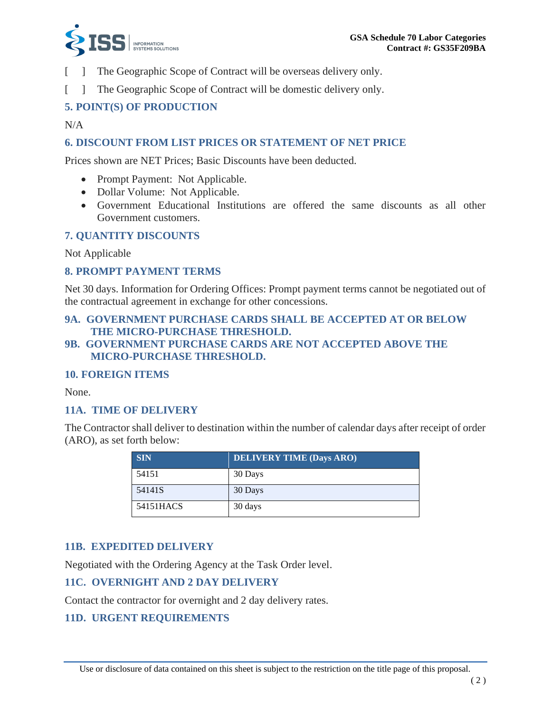

- [ ] The Geographic Scope of Contract will be overseas delivery only.
- [ ] The Geographic Scope of Contract will be domestic delivery only.

### **5. POINT(S) OF PRODUCTION**

### N/A

### **6. DISCOUNT FROM LIST PRICES OR STATEMENT OF NET PRICE**

Prices shown are NET Prices; Basic Discounts have been deducted.

- Prompt Payment: Not Applicable.
- Dollar Volume: Not Applicable.
- Government Educational Institutions are offered the same discounts as all other Government customers.

### **7. QUANTITY DISCOUNTS**

Not Applicable

### **8. PROMPT PAYMENT TERMS**

Net 30 days. Information for Ordering Offices: Prompt payment terms cannot be negotiated out of the contractual agreement in exchange for other concessions.

### **9A. GOVERNMENT PURCHASE CARDS SHALL BE ACCEPTED AT OR BELOW THE MICRO-PURCHASE THRESHOLD.**

**9B. GOVERNMENT PURCHASE CARDS ARE NOT ACCEPTED ABOVE THE MICRO-PURCHASE THRESHOLD.** 

### **10. FOREIGN ITEMS**

None.

### **11A. TIME OF DELIVERY**

The Contractor shall deliver to destination within the number of calendar days after receipt of order (ARO), as set forth below:

| <b>SIN</b> | <b>DELIVERY TIME (Days ARO)</b> |
|------------|---------------------------------|
| 54151      | 30 Days                         |
| 54141S     | 30 Days                         |
| 54151HACS  | 30 days                         |

### **11B. EXPEDITED DELIVERY**

Negotiated with the Ordering Agency at the Task Order level.

### **11C. OVERNIGHT AND 2 DAY DELIVERY**

Contact the contractor for overnight and 2 day delivery rates.

### **11D. URGENT REQUIREMENTS**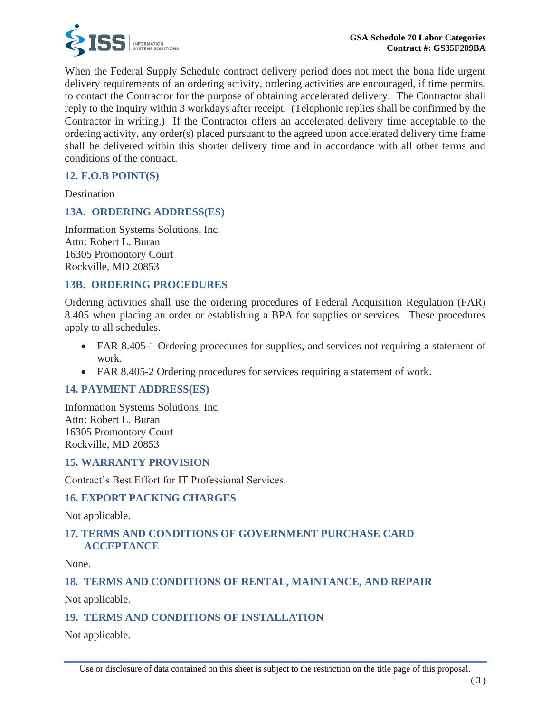

When the Federal Supply Schedule contract delivery period does not meet the bona fide urgent delivery requirements of an ordering activity, ordering activities are encouraged, if time permits, to contact the Contractor for the purpose of obtaining accelerated delivery. The Contractor shall reply to the inquiry within 3 workdays after receipt. (Telephonic replies shall be confirmed by the Contractor in writing.) If the Contractor offers an accelerated delivery time acceptable to the ordering activity, any order(s) placed pursuant to the agreed upon accelerated delivery time frame shall be delivered within this shorter delivery time and in accordance with all other terms and conditions of the contract.

### **12. F.O.B POINT(S)**

Destination

#### **13A. ORDERING ADDRESS(ES)**

Information Systems Solutions, Inc. Attn: Robert L. Buran 16305 Promontory Court Rockville, MD 20853

### **13B. ORDERING PROCEDURES**

Ordering activities shall use the ordering procedures of Federal Acquisition Regulation (FAR) 8.405 when placing an order or establishing a BPA for supplies or services. These procedures apply to all schedules.

- FAR 8.405-1 Ordering procedures for supplies, and services not requiring a statement of work.
- FAR 8.405-2 Ordering procedures for services requiring a statement of work.

### **14. PAYMENT ADDRESS(ES)**

Information Systems Solutions, Inc. Attn: Robert L. Buran 16305 Promontory Court Rockville, MD 20853

### **15. WARRANTY PROVISION**

Contract's Best Effort for IT Professional Services.

### **16. EXPORT PACKING CHARGES**

Not applicable.

### **17. TERMS AND CONDITIONS OF GOVERNMENT PURCHASE CARD ACCEPTANCE**

None.

### **18. TERMS AND CONDITIONS OF RENTAL, MAINTANCE, AND REPAIR**

Not applicable.

### **19. TERMS AND CONDITIONS OF INSTALLATION**

Not applicable.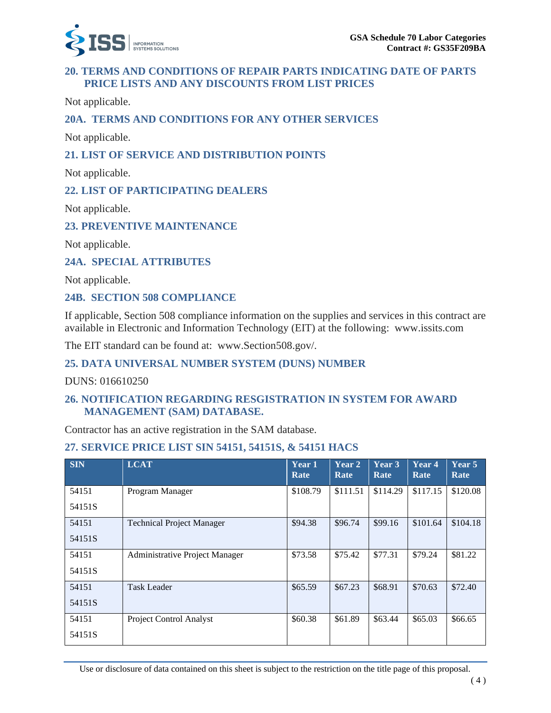

### **20. TERMS AND CONDITIONS OF REPAIR PARTS INDICATING DATE OF PARTS PRICE LISTS AND ANY DISCOUNTS FROM LIST PRICES**

Not applicable.

### **20A. TERMS AND CONDITIONS FOR ANY OTHER SERVICES**

Not applicable.

### **21. LIST OF SERVICE AND DISTRIBUTION POINTS**

Not applicable.

### **22. LIST OF PARTICIPATING DEALERS**

Not applicable.

### **23. PREVENTIVE MAINTENANCE**

Not applicable.

### **24A. SPECIAL ATTRIBUTES**

Not applicable.

### **24B. SECTION 508 COMPLIANCE**

If applicable, Section 508 compliance information on the supplies and services in this contract are available in Electronic and Information Technology (EIT) at the following: www.issits.com

The EIT standard can be found at: www.Section508.gov/.

### **25. DATA UNIVERSAL NUMBER SYSTEM (DUNS) NUMBER**

DUNS: 016610250

### **26. NOTIFICATION REGARDING RESGISTRATION IN SYSTEM FOR AWARD MANAGEMENT (SAM) DATABASE.**

Contractor has an active registration in the SAM database.

### **27. SERVICE PRICE LIST SIN 54151, 54151S, & 54151 HACS**

| <b>SIN</b> | <b>LCAT</b>                           | Year 1<br>Rate | Year 2<br>Rate | Year 3<br>Rate | Year 4<br>Rate | Year $5$<br>Rate |
|------------|---------------------------------------|----------------|----------------|----------------|----------------|------------------|
| 54151      | Program Manager                       | \$108.79       | \$111.51       | \$114.29       | \$117.15       | \$120.08         |
| 54151S     |                                       |                |                |                |                |                  |
| 54151      | <b>Technical Project Manager</b>      | \$94.38        | \$96.74        | \$99.16        | \$101.64       | \$104.18         |
| 54151S     |                                       |                |                |                |                |                  |
| 54151      | <b>Administrative Project Manager</b> | \$73.58        | \$75.42        | \$77.31        | \$79.24        | \$81.22          |
| 54151S     |                                       |                |                |                |                |                  |
| 54151      | <b>Task Leader</b>                    | \$65.59        | \$67.23        | \$68.91        | \$70.63        | \$72.40          |
| 54151S     |                                       |                |                |                |                |                  |
| 54151      | Project Control Analyst               | \$60.38        | \$61.89        | \$63.44        | \$65.03        | \$66.65          |
| 54151S     |                                       |                |                |                |                |                  |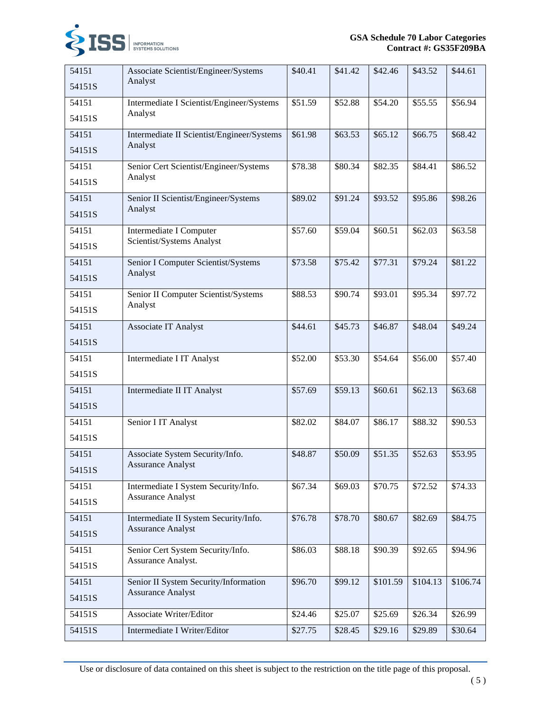

| 54151  | Associate Scientist/Engineer/Systems       | \$40.41 | \$41.42 | \$42.46  | \$43.52  | \$44.61  |
|--------|--------------------------------------------|---------|---------|----------|----------|----------|
| 54151S | Analyst                                    |         |         |          |          |          |
| 54151  | Intermediate I Scientist/Engineer/Systems  | \$51.59 | \$52.88 | \$54.20  | \$55.55  | \$56.94  |
| 54151S | Analyst                                    |         |         |          |          |          |
| 54151  | Intermediate II Scientist/Engineer/Systems | \$61.98 | \$63.53 | \$65.12  | \$66.75  | \$68.42  |
| 54151S | Analyst                                    |         |         |          |          |          |
| 54151  | Senior Cert Scientist/Engineer/Systems     | \$78.38 | \$80.34 | \$82.35  | \$84.41  | \$86.52  |
| 54151S | Analyst                                    |         |         |          |          |          |
| 54151  | Senior II Scientist/Engineer/Systems       | \$89.02 | \$91.24 | \$93.52  | \$95.86  | \$98.26  |
| 54151S | Analyst                                    |         |         |          |          |          |
| 54151  | Intermediate I Computer                    | \$57.60 | \$59.04 | \$60.51  | \$62.03  | \$63.58  |
| 54151S | Scientist/Systems Analyst                  |         |         |          |          |          |
| 54151  | Senior I Computer Scientist/Systems        | \$73.58 | \$75.42 | \$77.31  | \$79.24  | \$81.22  |
| 54151S | Analyst                                    |         |         |          |          |          |
| 54151  | Senior II Computer Scientist/Systems       | \$88.53 | \$90.74 | \$93.01  | \$95.34  | \$97.72  |
| 54151S | Analyst                                    |         |         |          |          |          |
| 54151  | Associate IT Analyst                       | \$44.61 | \$45.73 | \$46.87  | \$48.04  | \$49.24  |
| 54151S |                                            |         |         |          |          |          |
| 54151  | Intermediate I IT Analyst                  | \$52.00 | \$53.30 | \$54.64  | \$56.00  | \$57.40  |
| 54151S |                                            |         |         |          |          |          |
| 54151  | Intermediate II IT Analyst                 | \$57.69 | \$59.13 | \$60.61  | \$62.13  | \$63.68  |
| 54151S |                                            |         |         |          |          |          |
| 54151  | Senior I IT Analyst                        | \$82.02 | \$84.07 | \$86.17  | \$88.32  | \$90.53  |
| 54151S |                                            |         |         |          |          |          |
| 54151  | Associate System Security/Info.            | \$48.87 | \$50.09 | \$51.35  | \$52.63  | \$53.95  |
| 54151S | <b>Assurance Analyst</b>                   |         |         |          |          |          |
| 54151  | Intermediate I System Security/Info.       | \$67.34 | \$69.03 | \$70.75  | \$72.52  | \$74.33  |
| 54151S | <b>Assurance Analyst</b>                   |         |         |          |          |          |
| 54151  | Intermediate II System Security/Info.      | \$76.78 | \$78.70 | \$80.67  | \$82.69  | \$84.75  |
| 54151S | <b>Assurance Analyst</b>                   |         |         |          |          |          |
| 54151  | Senior Cert System Security/Info.          | \$86.03 | \$88.18 | \$90.39  | \$92.65  | \$94.96  |
| 54151S | Assurance Analyst.                         |         |         |          |          |          |
| 54151  | Senior II System Security/Information      | \$96.70 | \$99.12 | \$101.59 | \$104.13 | \$106.74 |
| 54151S | <b>Assurance Analyst</b>                   |         |         |          |          |          |
| 54151S | Associate Writer/Editor                    | \$24.46 | \$25.07 | \$25.69  | \$26.34  | \$26.99  |
| 54151S | Intermediate I Writer/Editor               | \$27.75 | \$28.45 | \$29.16  | \$29.89  | \$30.64  |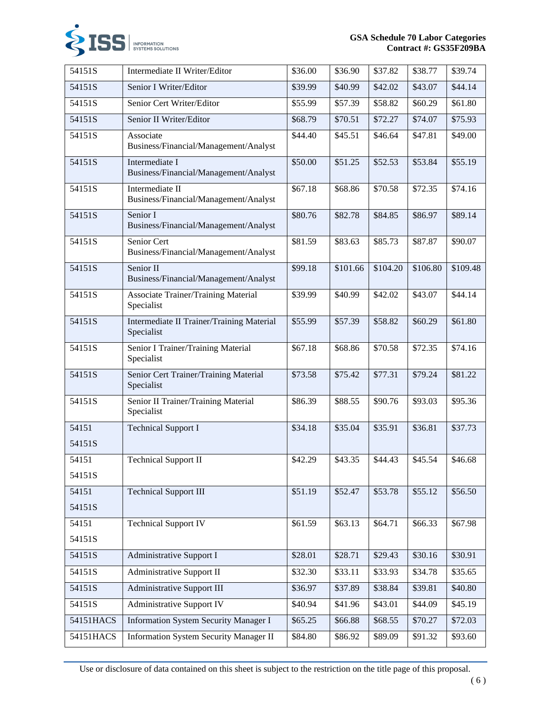

| 54151S    | Intermediate II Writer/Editor                            | \$36.00 | \$36.90  | \$37.82  | \$38.77  | \$39.74  |
|-----------|----------------------------------------------------------|---------|----------|----------|----------|----------|
| 54151S    | Senior I Writer/Editor                                   | \$39.99 | \$40.99  | \$42.02  | \$43.07  | \$44.14  |
| 54151S    | Senior Cert Writer/Editor                                | \$55.99 | \$57.39  | \$58.82  | \$60.29  | \$61.80  |
| 54151S    | Senior II Writer/Editor                                  | \$68.79 | \$70.51  | \$72.27  | \$74.07  | \$75.93  |
| 54151S    | Associate<br>Business/Financial/Management/Analyst       | \$44.40 | \$45.51  | \$46.64  | \$47.81  | \$49.00  |
| 54151S    | Intermediate I<br>Business/Financial/Management/Analyst  | \$50.00 | \$51.25  | \$52.53  | \$53.84  | \$55.19  |
| 54151S    | Intermediate II<br>Business/Financial/Management/Analyst | \$67.18 | \$68.86  | \$70.58  | \$72.35  | \$74.16  |
| 54151S    | Senior I<br>Business/Financial/Management/Analyst        | \$80.76 | \$82.78  | \$84.85  | \$86.97  | \$89.14  |
| 54151S    | Senior Cert<br>Business/Financial/Management/Analyst     | \$81.59 | \$83.63  | \$85.73  | \$87.87  | \$90.07  |
| 54151S    | Senior II<br>Business/Financial/Management/Analyst       | \$99.18 | \$101.66 | \$104.20 | \$106.80 | \$109.48 |
| 54151S    | <b>Associate Trainer/Training Material</b><br>Specialist | \$39.99 | \$40.99  | \$42.02  | \$43.07  | \$44.14  |
| 54151S    | Intermediate II Trainer/Training Material<br>Specialist  | \$55.99 | \$57.39  | \$58.82  | \$60.29  | \$61.80  |
| 54151S    | Senior I Trainer/Training Material<br>Specialist         | \$67.18 | \$68.86  | \$70.58  | \$72.35  | \$74.16  |
| 54151S    | Senior Cert Trainer/Training Material<br>Specialist      | \$73.58 | \$75.42  | \$77.31  | \$79.24  | \$81.22  |
| 54151S    | Senior II Trainer/Training Material<br>Specialist        | \$86.39 | \$88.55  | \$90.76  | \$93.03  | \$95.36  |
| 54151     | <b>Technical Support I</b>                               | \$34.18 | \$35.04  | \$35.91  | \$36.81  | \$37.73  |
| 54151S    |                                                          |         |          |          |          |          |
| 54151     | <b>Technical Support II</b>                              | \$42.29 | \$43.35  | \$44.43  | \$45.54  | \$46.68  |
| 54151S    |                                                          |         |          |          |          |          |
| 54151     | <b>Technical Support III</b>                             | \$51.19 | \$52.47  | \$53.78  | \$55.12  | \$56.50  |
| 54151S    |                                                          |         |          |          |          |          |
| 54151     | <b>Technical Support IV</b>                              | \$61.59 | \$63.13  | \$64.71  | \$66.33  | \$67.98  |
| 54151S    |                                                          |         |          |          |          |          |
| 54151S    | Administrative Support I                                 | \$28.01 | \$28.71  | \$29.43  | \$30.16  | \$30.91  |
| 54151S    | <b>Administrative Support II</b>                         | \$32.30 | \$33.11  | \$33.93  | \$34.78  | \$35.65  |
| 54151S    | <b>Administrative Support III</b>                        | \$36.97 | \$37.89  | \$38.84  | \$39.81  | \$40.80  |
| 54151S    | <b>Administrative Support IV</b>                         | \$40.94 | \$41.96  | \$43.01  | \$44.09  | \$45.19  |
| 54151HACS | <b>Information System Security Manager I</b>             | \$65.25 | \$66.88  | \$68.55  | \$70.27  | \$72.03  |
| 54151HACS | <b>Information System Security Manager II</b>            | \$84.80 | \$86.92  | \$89.09  | \$91.32  | \$93.60  |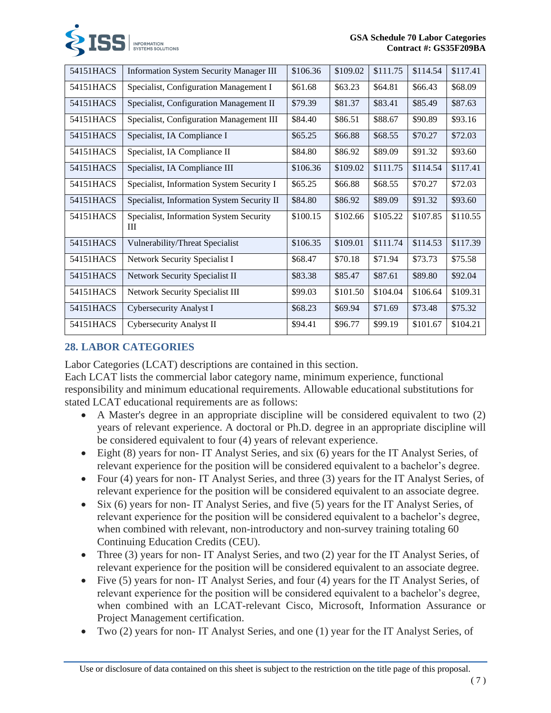

| 54151HACS | <b>Information System Security Manager III</b> | \$106.36 | \$109.02 | \$111.75 | \$114.54 | \$117.41 |
|-----------|------------------------------------------------|----------|----------|----------|----------|----------|
| 54151HACS | Specialist, Configuration Management I         | \$61.68  | \$63.23  | \$64.81  | \$66.43  | \$68.09  |
| 54151HACS | Specialist, Configuration Management II        | \$79.39  | \$81.37  | \$83.41  | \$85.49  | \$87.63  |
| 54151HACS | Specialist, Configuration Management III       | \$84.40  | \$86.51  | \$88.67  | \$90.89  | \$93.16  |
| 54151HACS | Specialist, IA Compliance I                    | \$65.25  | \$66.88  | \$68.55  | \$70.27  | \$72.03  |
| 54151HACS | Specialist, IA Compliance II                   | \$84.80  | \$86.92  | \$89.09  | \$91.32  | \$93.60  |
| 54151HACS | Specialist, IA Compliance III                  | \$106.36 | \$109.02 | \$111.75 | \$114.54 | \$117.41 |
| 54151HACS | Specialist, Information System Security I      | \$65.25  | \$66.88  | \$68.55  | \$70.27  | \$72.03  |
| 54151HACS | Specialist, Information System Security II     | \$84.80  | \$86.92  | \$89.09  | \$91.32  | \$93.60  |
| 54151HACS | Specialist, Information System Security<br>Ш   | \$100.15 | \$102.66 | \$105.22 | \$107.85 | \$110.55 |
| 54151HACS | Vulnerability/Threat Specialist                | \$106.35 | \$109.01 | \$111.74 | \$114.53 | \$117.39 |
| 54151HACS | Network Security Specialist I                  | \$68.47  | \$70.18  | \$71.94  | \$73.73  | \$75.58  |
| 54151HACS | Network Security Specialist II                 | \$83.38  | \$85.47  | \$87.61  | \$89.80  | \$92.04  |
| 54151HACS | Network Security Specialist III                | \$99.03  | \$101.50 | \$104.04 | \$106.64 | \$109.31 |
| 54151HACS | <b>Cybersecurity Analyst I</b>                 | \$68.23  | \$69.94  | \$71.69  | \$73.48  | \$75.32  |
| 54151HACS | Cybersecurity Analyst II                       | \$94.41  | \$96.77  | \$99.19  | \$101.67 | \$104.21 |

# **28. LABOR CATEGORIES**

Labor Categories (LCAT) descriptions are contained in this section.

Each LCAT lists the commercial labor category name, minimum experience, functional responsibility and minimum educational requirements. Allowable educational substitutions for stated LCAT educational requirements are as follows:

- A Master's degree in an appropriate discipline will be considered equivalent to two (2) years of relevant experience. A doctoral or Ph.D. degree in an appropriate discipline will be considered equivalent to four (4) years of relevant experience.
- Eight (8) years for non-IT Analyst Series, and six (6) years for the IT Analyst Series, of relevant experience for the position will be considered equivalent to a bachelor's degree.
- Four (4) years for non- IT Analyst Series, and three (3) years for the IT Analyst Series, of relevant experience for the position will be considered equivalent to an associate degree.
- Six (6) years for non- IT Analyst Series, and five (5) years for the IT Analyst Series, of relevant experience for the position will be considered equivalent to a bachelor's degree, when combined with relevant, non-introductory and non-survey training totaling 60 Continuing Education Credits (CEU).
- Three (3) years for non-IT Analyst Series, and two (2) year for the IT Analyst Series, of relevant experience for the position will be considered equivalent to an associate degree.
- Five (5) years for non- IT Analyst Series, and four (4) years for the IT Analyst Series, of relevant experience for the position will be considered equivalent to a bachelor's degree, when combined with an LCAT-relevant Cisco, Microsoft, Information Assurance or Project Management certification.
- Two (2) years for non- IT Analyst Series, and one (1) year for the IT Analyst Series, of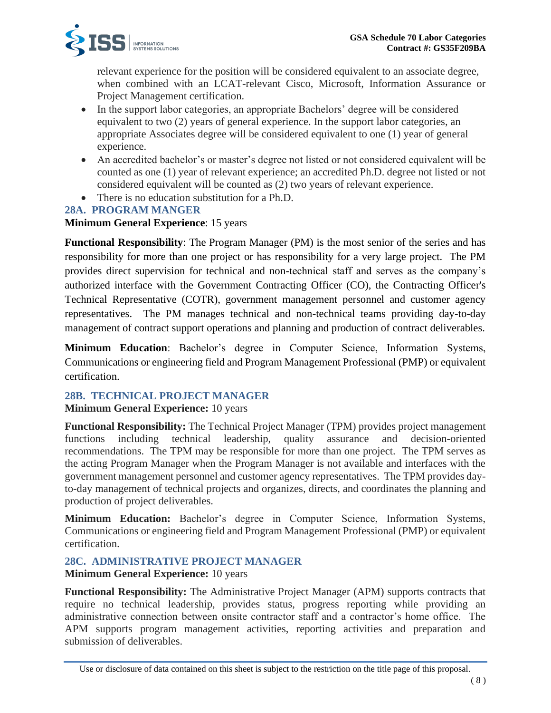

relevant experience for the position will be considered equivalent to an associate degree, when combined with an LCAT-relevant Cisco, Microsoft, Information Assurance or Project Management certification.

- In the support labor categories, an appropriate Bachelors' degree will be considered equivalent to two (2) years of general experience. In the support labor categories, an appropriate Associates degree will be considered equivalent to one (1) year of general experience.
- An accredited bachelor's or master's degree not listed or not considered equivalent will be counted as one (1) year of relevant experience; an accredited Ph.D. degree not listed or not considered equivalent will be counted as (2) two years of relevant experience.
- There is no education substitution for a Ph.D.

# **28A. PROGRAM MANGER**

### **Minimum General Experience**: 15 years

**Functional Responsibility**: The Program Manager (PM) is the most senior of the series and has responsibility for more than one project or has responsibility for a very large project. The PM provides direct supervision for technical and non-technical staff and serves as the company's authorized interface with the Government Contracting Officer (CO), the Contracting Officer's Technical Representative (COTR), government management personnel and customer agency representatives. The PM manages technical and non-technical teams providing day-to-day management of contract support operations and planning and production of contract deliverables.

**Minimum Education**: Bachelor's degree in Computer Science, Information Systems, Communications or engineering field and Program Management Professional (PMP) or equivalent certification.

# **28B. TECHNICAL PROJECT MANAGER**

### **Minimum General Experience:** 10 years

**Functional Responsibility:** The Technical Project Manager (TPM) provides project management functions including technical leadership, quality assurance and decision-oriented recommendations. The TPM may be responsible for more than one project. The TPM serves as the acting Program Manager when the Program Manager is not available and interfaces with the government management personnel and customer agency representatives. The TPM provides dayto-day management of technical projects and organizes, directs, and coordinates the planning and production of project deliverables.

**Minimum Education:** Bachelor's degree in Computer Science, Information Systems, Communications or engineering field and Program Management Professional (PMP) or equivalent certification.

# **28C. ADMINISTRATIVE PROJECT MANAGER**

**Minimum General Experience:** 10 years

**Functional Responsibility:** The Administrative Project Manager (APM) supports contracts that require no technical leadership, provides status, progress reporting while providing an administrative connection between onsite contractor staff and a contractor's home office. The APM supports program management activities, reporting activities and preparation and submission of deliverables.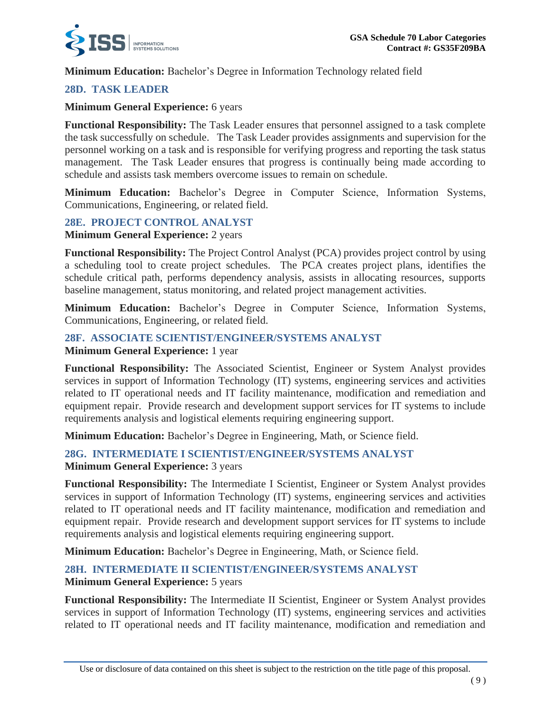

**Minimum Education:** Bachelor's Degree in Information Technology related field

# **28D. TASK LEADER**

### **Minimum General Experience:** 6 years

**Functional Responsibility:** The Task Leader ensures that personnel assigned to a task complete the task successfully on schedule. The Task Leader provides assignments and supervision for the personnel working on a task and is responsible for verifying progress and reporting the task status management. The Task Leader ensures that progress is continually being made according to schedule and assists task members overcome issues to remain on schedule.

**Minimum Education:** Bachelor's Degree in Computer Science, Information Systems, Communications, Engineering, or related field.

# **28E. PROJECT CONTROL ANALYST**

**Minimum General Experience:** 2 years

**Functional Responsibility:** The Project Control Analyst (PCA) provides project control by using a scheduling tool to create project schedules. The PCA creates project plans, identifies the schedule critical path, performs dependency analysis, assists in allocating resources, supports baseline management, status monitoring, and related project management activities.

**Minimum Education:** Bachelor's Degree in Computer Science, Information Systems, Communications, Engineering, or related field.

### **28F. ASSOCIATE SCIENTIST/ENGINEER/SYSTEMS ANALYST**

**Minimum General Experience:** 1 year

**Functional Responsibility:** The Associated Scientist, Engineer or System Analyst provides services in support of Information Technology (IT) systems, engineering services and activities related to IT operational needs and IT facility maintenance, modification and remediation and equipment repair. Provide research and development support services for IT systems to include requirements analysis and logistical elements requiring engineering support.

**Minimum Education:** Bachelor's Degree in Engineering, Math, or Science field.

### **28G. INTERMEDIATE I SCIENTIST/ENGINEER/SYSTEMS ANALYST Minimum General Experience:** 3 years

**Functional Responsibility:** The Intermediate I Scientist, Engineer or System Analyst provides services in support of Information Technology (IT) systems, engineering services and activities related to IT operational needs and IT facility maintenance, modification and remediation and equipment repair. Provide research and development support services for IT systems to include requirements analysis and logistical elements requiring engineering support.

**Minimum Education:** Bachelor's Degree in Engineering, Math, or Science field.

### **28H. INTERMEDIATE II SCIENTIST/ENGINEER/SYSTEMS ANALYST Minimum General Experience:** 5 years

**Functional Responsibility:** The Intermediate II Scientist, Engineer or System Analyst provides services in support of Information Technology (IT) systems, engineering services and activities related to IT operational needs and IT facility maintenance, modification and remediation and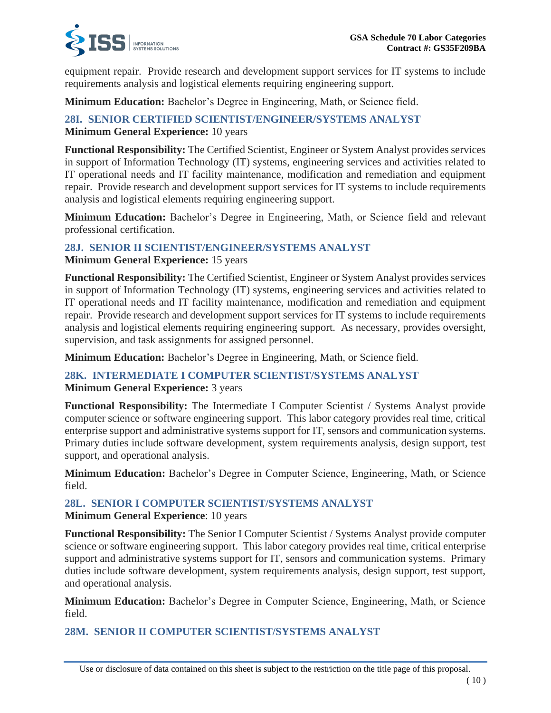

equipment repair. Provide research and development support services for IT systems to include requirements analysis and logistical elements requiring engineering support.

**Minimum Education:** Bachelor's Degree in Engineering, Math, or Science field.

# **28I. SENIOR CERTIFIED SCIENTIST/ENGINEER/SYSTEMS ANALYST**

**Minimum General Experience:** 10 years

**Functional Responsibility:** The Certified Scientist, Engineer or System Analyst provides services in support of Information Technology (IT) systems, engineering services and activities related to IT operational needs and IT facility maintenance, modification and remediation and equipment repair. Provide research and development support services for IT systems to include requirements analysis and logistical elements requiring engineering support.

**Minimum Education:** Bachelor's Degree in Engineering, Math, or Science field and relevant professional certification.

# **28J. SENIOR II SCIENTIST/ENGINEER/SYSTEMS ANALYST**

**Minimum General Experience:** 15 years

**Functional Responsibility:** The Certified Scientist, Engineer or System Analyst provides services in support of Information Technology (IT) systems, engineering services and activities related to IT operational needs and IT facility maintenance, modification and remediation and equipment repair. Provide research and development support services for IT systems to include requirements analysis and logistical elements requiring engineering support. As necessary, provides oversight, supervision, and task assignments for assigned personnel.

**Minimum Education:** Bachelor's Degree in Engineering, Math, or Science field.

### **28K. INTERMEDIATE I COMPUTER SCIENTIST/SYSTEMS ANALYST**

**Minimum General Experience:** 3 years

**Functional Responsibility:** The Intermediate I Computer Scientist / Systems Analyst provide computer science or software engineering support. This labor category provides real time, critical enterprise support and administrative systems support for IT, sensors and communication systems. Primary duties include software development, system requirements analysis, design support, test support, and operational analysis.

**Minimum Education:** Bachelor's Degree in Computer Science, Engineering, Math, or Science field.

# **28L. SENIOR I COMPUTER SCIENTIST/SYSTEMS ANALYST**

**Minimum General Experience**: 10 years

**Functional Responsibility:** The Senior I Computer Scientist / Systems Analyst provide computer science or software engineering support. This labor category provides real time, critical enterprise support and administrative systems support for IT, sensors and communication systems. Primary duties include software development, system requirements analysis, design support, test support, and operational analysis.

**Minimum Education:** Bachelor's Degree in Computer Science, Engineering, Math, or Science field.

# **28M. SENIOR II COMPUTER SCIENTIST/SYSTEMS ANALYST**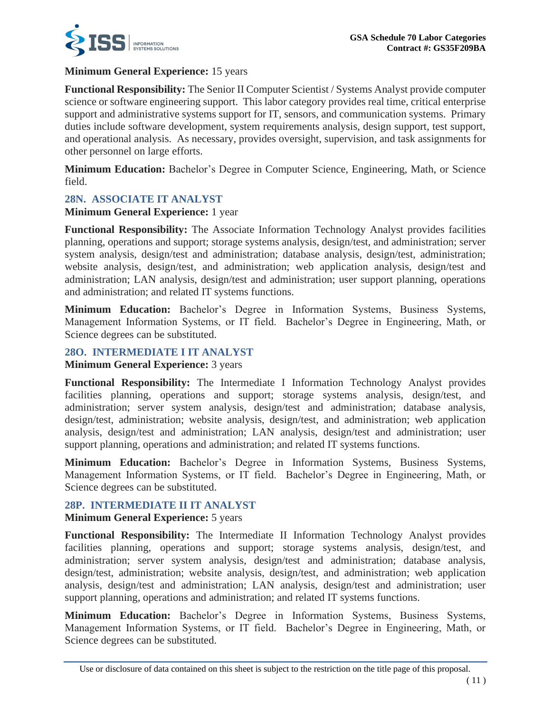

### **Minimum General Experience:** 15 years

**Functional Responsibility:** The Senior II Computer Scientist / Systems Analyst provide computer science or software engineering support. This labor category provides real time, critical enterprise support and administrative systems support for IT, sensors, and communication systems. Primary duties include software development, system requirements analysis, design support, test support, and operational analysis. As necessary, provides oversight, supervision, and task assignments for other personnel on large efforts.

**Minimum Education:** Bachelor's Degree in Computer Science, Engineering, Math, or Science field.

### **28N. ASSOCIATE IT ANALYST**

### **Minimum General Experience:** 1 year

**Functional Responsibility:** The Associate Information Technology Analyst provides facilities planning, operations and support; storage systems analysis, design/test, and administration; server system analysis, design/test and administration; database analysis, design/test, administration; website analysis, design/test, and administration; web application analysis, design/test and administration; LAN analysis, design/test and administration; user support planning, operations and administration; and related IT systems functions.

**Minimum Education:** Bachelor's Degree in Information Systems, Business Systems, Management Information Systems, or IT field. Bachelor's Degree in Engineering, Math, or Science degrees can be substituted.

### **28O. INTERMEDIATE I IT ANALYST**

### **Minimum General Experience:** 3 years

**Functional Responsibility:** The Intermediate I Information Technology Analyst provides facilities planning, operations and support; storage systems analysis, design/test, and administration; server system analysis, design/test and administration; database analysis, design/test, administration; website analysis, design/test, and administration; web application analysis, design/test and administration; LAN analysis, design/test and administration; user support planning, operations and administration; and related IT systems functions.

**Minimum Education:** Bachelor's Degree in Information Systems, Business Systems, Management Information Systems, or IT field. Bachelor's Degree in Engineering, Math, or Science degrees can be substituted.

### **28P. INTERMEDIATE II IT ANALYST**

### **Minimum General Experience:** 5 years

**Functional Responsibility:** The Intermediate II Information Technology Analyst provides facilities planning, operations and support; storage systems analysis, design/test, and administration; server system analysis, design/test and administration; database analysis, design/test, administration; website analysis, design/test, and administration; web application analysis, design/test and administration; LAN analysis, design/test and administration; user support planning, operations and administration; and related IT systems functions.

**Minimum Education:** Bachelor's Degree in Information Systems, Business Systems, Management Information Systems, or IT field. Bachelor's Degree in Engineering, Math, or Science degrees can be substituted.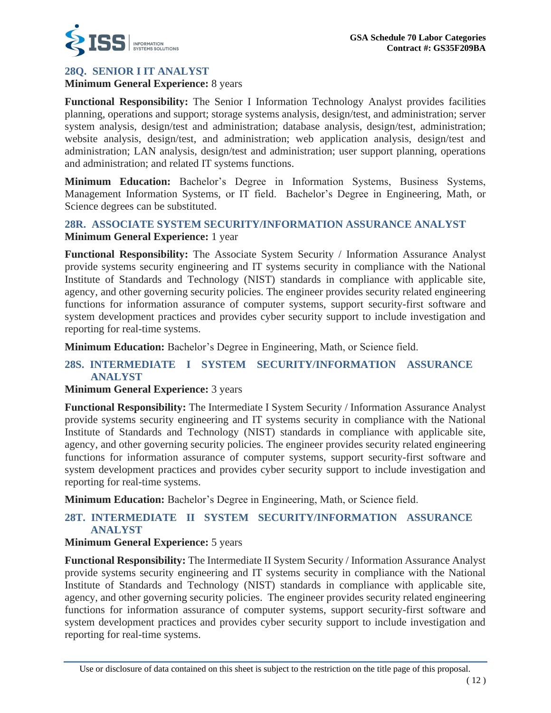

# **28Q. SENIOR I IT ANALYST**

**Minimum General Experience:** 8 years

**Functional Responsibility:** The Senior I Information Technology Analyst provides facilities planning, operations and support; storage systems analysis, design/test, and administration; server system analysis, design/test and administration; database analysis, design/test, administration; website analysis, design/test, and administration; web application analysis, design/test and administration; LAN analysis, design/test and administration; user support planning, operations and administration; and related IT systems functions.

**Minimum Education:** Bachelor's Degree in Information Systems, Business Systems, Management Information Systems, or IT field. Bachelor's Degree in Engineering, Math, or Science degrees can be substituted.

### **28R. ASSOCIATE SYSTEM SECURITY/INFORMATION ASSURANCE ANALYST Minimum General Experience:** 1 year

**Functional Responsibility:** The Associate System Security / Information Assurance Analyst provide systems security engineering and IT systems security in compliance with the National Institute of Standards and Technology (NIST) standards in compliance with applicable site, agency, and other governing security policies. The engineer provides security related engineering functions for information assurance of computer systems, support security-first software and system development practices and provides cyber security support to include investigation and reporting for real-time systems.

**Minimum Education:** Bachelor's Degree in Engineering, Math, or Science field.

### **28S. INTERMEDIATE I SYSTEM SECURITY/INFORMATION ASSURANCE ANALYST**

### **Minimum General Experience:** 3 years

**Functional Responsibility:** The Intermediate I System Security / Information Assurance Analyst provide systems security engineering and IT systems security in compliance with the National Institute of Standards and Technology (NIST) standards in compliance with applicable site, agency, and other governing security policies. The engineer provides security related engineering functions for information assurance of computer systems, support security-first software and system development practices and provides cyber security support to include investigation and reporting for real-time systems.

**Minimum Education:** Bachelor's Degree in Engineering, Math, or Science field.

# **28T. INTERMEDIATE II SYSTEM SECURITY/INFORMATION ASSURANCE ANALYST**

### **Minimum General Experience:** 5 years

**Functional Responsibility:** The Intermediate II System Security / Information Assurance Analyst provide systems security engineering and IT systems security in compliance with the National Institute of Standards and Technology (NIST) standards in compliance with applicable site, agency, and other governing security policies. The engineer provides security related engineering functions for information assurance of computer systems, support security-first software and system development practices and provides cyber security support to include investigation and reporting for real-time systems.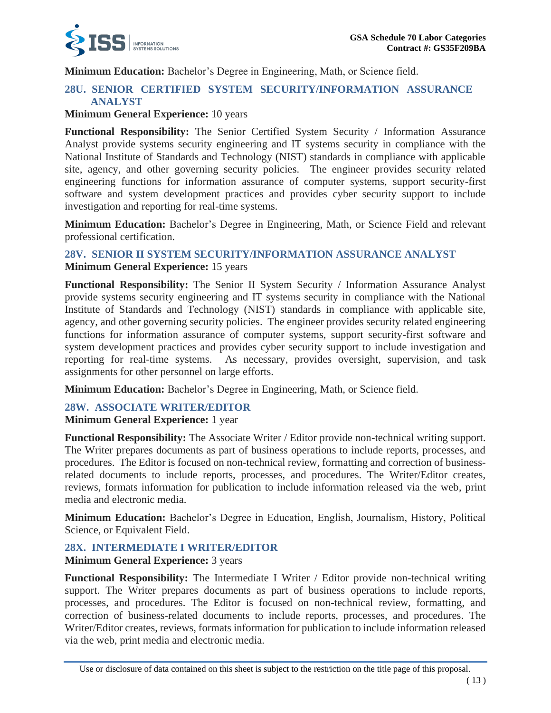

**Minimum Education:** Bachelor's Degree in Engineering, Math, or Science field.

# **28U. SENIOR CERTIFIED SYSTEM SECURITY/INFORMATION ASSURANCE ANALYST**

### **Minimum General Experience:** 10 years

**Functional Responsibility:** The Senior Certified System Security / Information Assurance Analyst provide systems security engineering and IT systems security in compliance with the National Institute of Standards and Technology (NIST) standards in compliance with applicable site, agency, and other governing security policies. The engineer provides security related engineering functions for information assurance of computer systems, support security-first software and system development practices and provides cyber security support to include investigation and reporting for real-time systems.

**Minimum Education:** Bachelor's Degree in Engineering, Math, or Science Field and relevant professional certification.

# **28V. SENIOR II SYSTEM SECURITY/INFORMATION ASSURANCE ANALYST**

**Minimum General Experience:** 15 years

**Functional Responsibility:** The Senior II System Security / Information Assurance Analyst provide systems security engineering and IT systems security in compliance with the National Institute of Standards and Technology (NIST) standards in compliance with applicable site, agency, and other governing security policies. The engineer provides security related engineering functions for information assurance of computer systems, support security-first software and system development practices and provides cyber security support to include investigation and reporting for real-time systems. As necessary, provides oversight, supervision, and task assignments for other personnel on large efforts.

**Minimum Education:** Bachelor's Degree in Engineering, Math, or Science field.

### **28W. ASSOCIATE WRITER/EDITOR**

### **Minimum General Experience:** 1 year

**Functional Responsibility:** The Associate Writer / Editor provide non-technical writing support. The Writer prepares documents as part of business operations to include reports, processes, and procedures. The Editor is focused on non-technical review, formatting and correction of businessrelated documents to include reports, processes, and procedures. The Writer/Editor creates, reviews, formats information for publication to include information released via the web, print media and electronic media.

**Minimum Education:** Bachelor's Degree in Education, English, Journalism, History, Political Science, or Equivalent Field.

### **28X. INTERMEDIATE I WRITER/EDITOR**

**Minimum General Experience:** 3 years

**Functional Responsibility:** The Intermediate I Writer / Editor provide non-technical writing support. The Writer prepares documents as part of business operations to include reports, processes, and procedures. The Editor is focused on non-technical review, formatting, and correction of business-related documents to include reports, processes, and procedures. The Writer/Editor creates, reviews, formats information for publication to include information released via the web, print media and electronic media.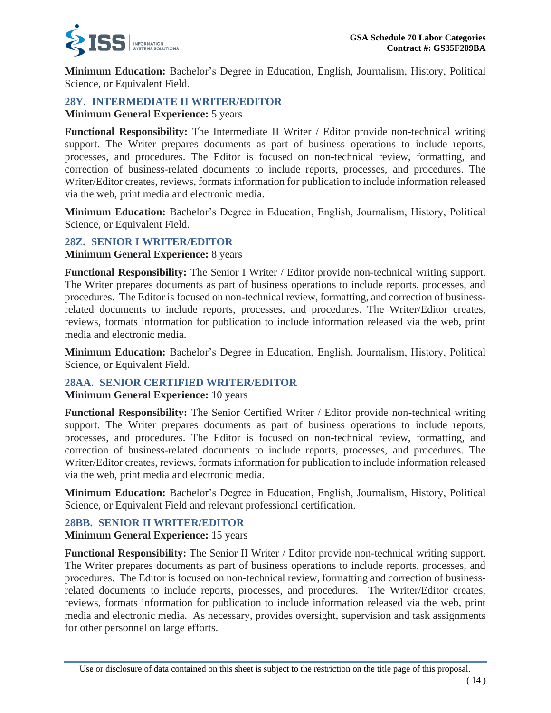

**Minimum Education:** Bachelor's Degree in Education, English, Journalism, History, Political Science, or Equivalent Field.

# **28Y. INTERMEDIATE II WRITER/EDITOR**

**Minimum General Experience:** 5 years

**Functional Responsibility:** The Intermediate II Writer / Editor provide non-technical writing support. The Writer prepares documents as part of business operations to include reports, processes, and procedures. The Editor is focused on non-technical review, formatting, and correction of business-related documents to include reports, processes, and procedures. The Writer/Editor creates, reviews, formats information for publication to include information released via the web, print media and electronic media.

**Minimum Education:** Bachelor's Degree in Education, English, Journalism, History, Political Science, or Equivalent Field.

### **28Z. SENIOR I WRITER/EDITOR**

**Minimum General Experience:** 8 years

**Functional Responsibility:** The Senior I Writer / Editor provide non-technical writing support. The Writer prepares documents as part of business operations to include reports, processes, and procedures. The Editor is focused on non-technical review, formatting, and correction of businessrelated documents to include reports, processes, and procedures. The Writer/Editor creates, reviews, formats information for publication to include information released via the web, print media and electronic media.

**Minimum Education:** Bachelor's Degree in Education, English, Journalism, History, Political Science, or Equivalent Field.

### **28AA. SENIOR CERTIFIED WRITER/EDITOR**

**Minimum General Experience:** 10 years

**Functional Responsibility:** The Senior Certified Writer / Editor provide non-technical writing support. The Writer prepares documents as part of business operations to include reports, processes, and procedures. The Editor is focused on non-technical review, formatting, and correction of business-related documents to include reports, processes, and procedures. The Writer/Editor creates, reviews, formats information for publication to include information released via the web, print media and electronic media.

**Minimum Education:** Bachelor's Degree in Education, English, Journalism, History, Political Science, or Equivalent Field and relevant professional certification.

### **28BB. SENIOR II WRITER/EDITOR**

**Minimum General Experience:** 15 years

**Functional Responsibility:** The Senior II Writer / Editor provide non-technical writing support. The Writer prepares documents as part of business operations to include reports, processes, and procedures. The Editor is focused on non-technical review, formatting and correction of businessrelated documents to include reports, processes, and procedures. The Writer/Editor creates, reviews, formats information for publication to include information released via the web, print media and electronic media. As necessary, provides oversight, supervision and task assignments for other personnel on large efforts.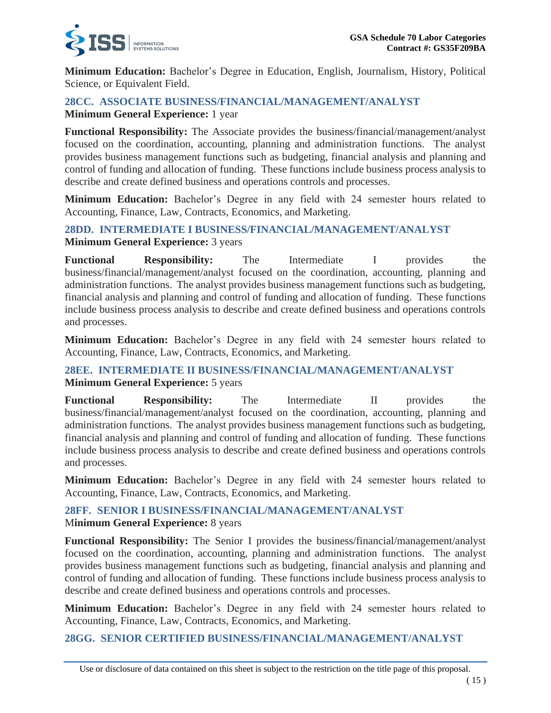

**Minimum Education:** Bachelor's Degree in Education, English, Journalism, History, Political Science, or Equivalent Field.

### **28CC. ASSOCIATE BUSINESS/FINANCIAL/MANAGEMENT/ANALYST Minimum General Experience:** 1 year

**Functional Responsibility:** The Associate provides the business/financial/management/analyst focused on the coordination, accounting, planning and administration functions. The analyst provides business management functions such as budgeting, financial analysis and planning and control of funding and allocation of funding. These functions include business process analysis to describe and create defined business and operations controls and processes.

**Minimum Education:** Bachelor's Degree in any field with 24 semester hours related to Accounting, Finance, Law, Contracts, Economics, and Marketing.

### **28DD. INTERMEDIATE I BUSINESS/FINANCIAL/MANAGEMENT/ANALYST Minimum General Experience:** 3 years

**Functional Responsibility:** The Intermediate I provides the business/financial/management/analyst focused on the coordination, accounting, planning and administration functions. The analyst provides business management functions such as budgeting, financial analysis and planning and control of funding and allocation of funding. These functions include business process analysis to describe and create defined business and operations controls and processes.

**Minimum Education:** Bachelor's Degree in any field with 24 semester hours related to Accounting, Finance, Law, Contracts, Economics, and Marketing.

# **28EE. INTERMEDIATE II BUSINESS/FINANCIAL/MANAGEMENT/ANALYST Minimum General Experience:** 5 years

**Functional Responsibility:** The Intermediate II provides the business/financial/management/analyst focused on the coordination, accounting, planning and administration functions. The analyst provides business management functions such as budgeting, financial analysis and planning and control of funding and allocation of funding. These functions include business process analysis to describe and create defined business and operations controls and processes.

**Minimum Education:** Bachelor's Degree in any field with 24 semester hours related to Accounting, Finance, Law, Contracts, Economics, and Marketing.

### **28FF. SENIOR I BUSINESS/FINANCIAL/MANAGEMENT/ANALYST Minimum General Experience: 8 years**

**Functional Responsibility:** The Senior I provides the business/financial/management/analyst focused on the coordination, accounting, planning and administration functions. The analyst provides business management functions such as budgeting, financial analysis and planning and control of funding and allocation of funding. These functions include business process analysis to describe and create defined business and operations controls and processes.

**Minimum Education:** Bachelor's Degree in any field with 24 semester hours related to Accounting, Finance, Law, Contracts, Economics, and Marketing.

**28GG. SENIOR CERTIFIED BUSINESS/FINANCIAL/MANAGEMENT/ANALYST**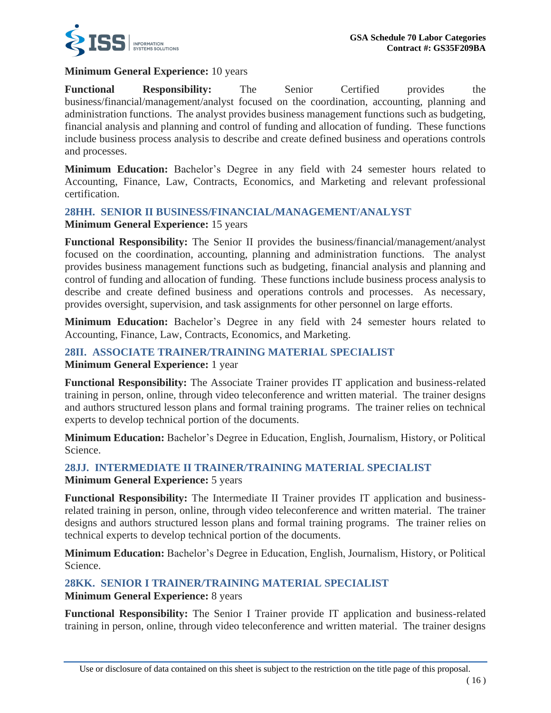

### **Minimum General Experience:** 10 years

**Functional Responsibility:** The Senior Certified provides the business/financial/management/analyst focused on the coordination, accounting, planning and administration functions. The analyst provides business management functions such as budgeting, financial analysis and planning and control of funding and allocation of funding. These functions include business process analysis to describe and create defined business and operations controls and processes.

**Minimum Education:** Bachelor's Degree in any field with 24 semester hours related to Accounting, Finance, Law, Contracts, Economics, and Marketing and relevant professional certification.

### **28HH. SENIOR II BUSINESS/FINANCIAL/MANAGEMENT/ANALYST Minimum General Experience:** 15 years

**Functional Responsibility:** The Senior II provides the business/financial/management/analyst focused on the coordination, accounting, planning and administration functions. The analyst provides business management functions such as budgeting, financial analysis and planning and control of funding and allocation of funding. These functions include business process analysis to describe and create defined business and operations controls and processes. As necessary, provides oversight, supervision, and task assignments for other personnel on large efforts.

**Minimum Education:** Bachelor's Degree in any field with 24 semester hours related to Accounting, Finance, Law, Contracts, Economics, and Marketing.

### **28II. ASSOCIATE TRAINER/TRAINING MATERIAL SPECIALIST Minimum General Experience:** 1 year

**Functional Responsibility:** The Associate Trainer provides IT application and business-related training in person, online, through video teleconference and written material. The trainer designs and authors structured lesson plans and formal training programs. The trainer relies on technical experts to develop technical portion of the documents.

**Minimum Education:** Bachelor's Degree in Education, English, Journalism, History, or Political Science.

# **28JJ. INTERMEDIATE II TRAINER/TRAINING MATERIAL SPECIALIST**

### **Minimum General Experience:** 5 years

**Functional Responsibility:** The Intermediate II Trainer provides IT application and businessrelated training in person, online, through video teleconference and written material. The trainer designs and authors structured lesson plans and formal training programs. The trainer relies on technical experts to develop technical portion of the documents.

**Minimum Education:** Bachelor's Degree in Education, English, Journalism, History, or Political Science.

### **28KK. SENIOR I TRAINER/TRAINING MATERIAL SPECIALIST**

**Minimum General Experience:** 8 years

**Functional Responsibility:** The Senior I Trainer provide IT application and business-related training in person, online, through video teleconference and written material. The trainer designs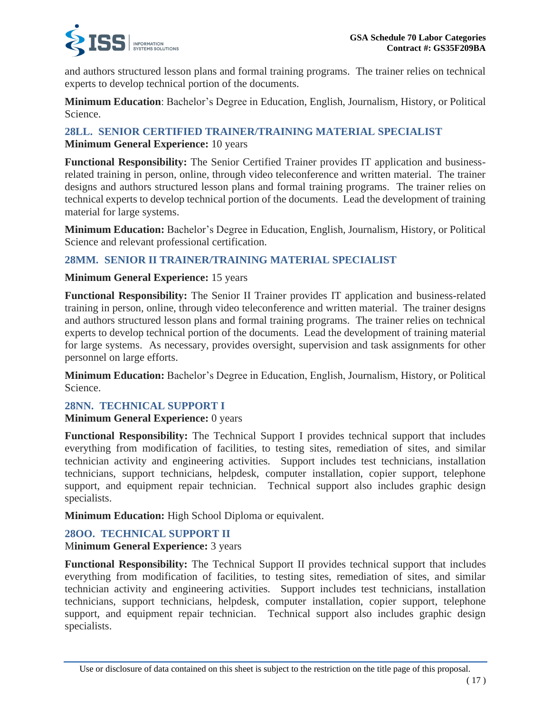

and authors structured lesson plans and formal training programs. The trainer relies on technical experts to develop technical portion of the documents.

**Minimum Education**: Bachelor's Degree in Education, English, Journalism, History, or Political Science.

### **28LL. SENIOR CERTIFIED TRAINER/TRAINING MATERIAL SPECIALIST Minimum General Experience:** 10 years

**Functional Responsibility:** The Senior Certified Trainer provides IT application and businessrelated training in person, online, through video teleconference and written material. The trainer designs and authors structured lesson plans and formal training programs. The trainer relies on technical experts to develop technical portion of the documents. Lead the development of training material for large systems.

**Minimum Education:** Bachelor's Degree in Education, English, Journalism, History, or Political Science and relevant professional certification.

# **28MM. SENIOR II TRAINER/TRAINING MATERIAL SPECIALIST**

### **Minimum General Experience:** 15 years

**Functional Responsibility:** The Senior II Trainer provides IT application and business-related training in person, online, through video teleconference and written material. The trainer designs and authors structured lesson plans and formal training programs. The trainer relies on technical experts to develop technical portion of the documents. Lead the development of training material for large systems. As necessary, provides oversight, supervision and task assignments for other personnel on large efforts.

**Minimum Education:** Bachelor's Degree in Education, English, Journalism, History, or Political Science.

### **28NN. TECHNICAL SUPPORT I**

### **Minimum General Experience:** 0 years

**Functional Responsibility:** The Technical Support I provides technical support that includes everything from modification of facilities, to testing sites, remediation of sites, and similar technician activity and engineering activities. Support includes test technicians, installation technicians, support technicians, helpdesk, computer installation, copier support, telephone support, and equipment repair technician. Technical support also includes graphic design specialists.

**Minimum Education:** High School Diploma or equivalent.

### **28OO. TECHNICAL SUPPORT II**

### **Minimum General Experience: 3 years**

**Functional Responsibility:** The Technical Support II provides technical support that includes everything from modification of facilities, to testing sites, remediation of sites, and similar technician activity and engineering activities. Support includes test technicians, installation technicians, support technicians, helpdesk, computer installation, copier support, telephone support, and equipment repair technician. Technical support also includes graphic design specialists.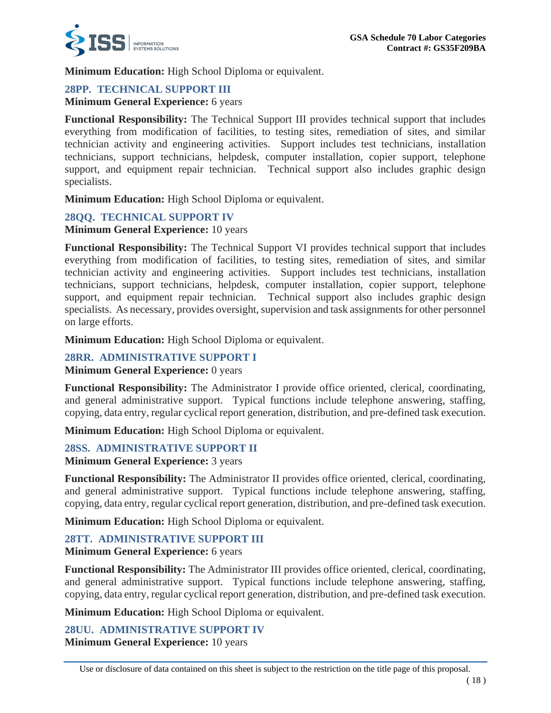

**Minimum Education:** High School Diploma or equivalent.

# **28PP. TECHNICAL SUPPORT III**

**Minimum General Experience:** 6 years

**Functional Responsibility:** The Technical Support III provides technical support that includes everything from modification of facilities, to testing sites, remediation of sites, and similar technician activity and engineering activities. Support includes test technicians, installation technicians, support technicians, helpdesk, computer installation, copier support, telephone support, and equipment repair technician. Technical support also includes graphic design specialists.

**Minimum Education:** High School Diploma or equivalent.

### **28QQ. TECHNICAL SUPPORT IV**

**Minimum General Experience:** 10 years

**Functional Responsibility:** The Technical Support VI provides technical support that includes everything from modification of facilities, to testing sites, remediation of sites, and similar technician activity and engineering activities. Support includes test technicians, installation technicians, support technicians, helpdesk, computer installation, copier support, telephone support, and equipment repair technician. Technical support also includes graphic design specialists. As necessary, provides oversight, supervision and task assignments for other personnel on large efforts.

**Minimum Education:** High School Diploma or equivalent.

### **28RR. ADMINISTRATIVE SUPPORT I**

**Minimum General Experience:** 0 years

**Functional Responsibility:** The Administrator I provide office oriented, clerical, coordinating, and general administrative support. Typical functions include telephone answering, staffing, copying, data entry, regular cyclical report generation, distribution, and pre-defined task execution.

**Minimum Education:** High School Diploma or equivalent.

### **28SS. ADMINISTRATIVE SUPPORT II**

**Minimum General Experience:** 3 years

**Functional Responsibility:** The Administrator II provides office oriented, clerical, coordinating, and general administrative support. Typical functions include telephone answering, staffing, copying, data entry, regular cyclical report generation, distribution, and pre-defined task execution.

**Minimum Education:** High School Diploma or equivalent.

### **28TT. ADMINISTRATIVE SUPPORT III**

**Minimum General Experience:** 6 years

**Functional Responsibility:** The Administrator III provides office oriented, clerical, coordinating, and general administrative support. Typical functions include telephone answering, staffing, copying, data entry, regular cyclical report generation, distribution, and pre-defined task execution.

**Minimum Education:** High School Diploma or equivalent.

**28UU. ADMINISTRATIVE SUPPORT IV Minimum General Experience:** 10 years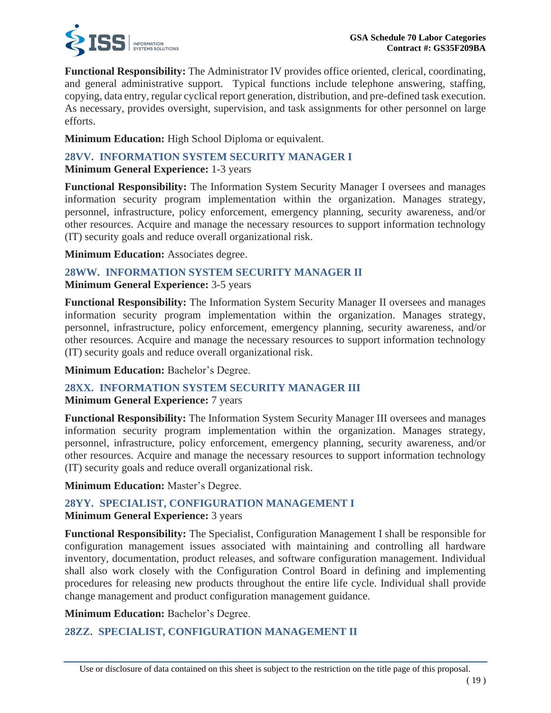

**Functional Responsibility:** The Administrator IV provides office oriented, clerical, coordinating, and general administrative support. Typical functions include telephone answering, staffing, copying, data entry, regular cyclical report generation, distribution, and pre-defined task execution. As necessary, provides oversight, supervision, and task assignments for other personnel on large efforts.

**Minimum Education:** High School Diploma or equivalent.

### **28VV. INFORMATION SYSTEM SECURITY MANAGER I Minimum General Experience:** 1-3 years

**Functional Responsibility:** The Information System Security Manager I oversees and manages information security program implementation within the organization. Manages strategy, personnel, infrastructure, policy enforcement, emergency planning, security awareness, and/or other resources. Acquire and manage the necessary resources to support information technology (IT) security goals and reduce overall organizational risk.

**Minimum Education:** Associates degree.

### **28WW. INFORMATION SYSTEM SECURITY MANAGER II Minimum General Experience:** 3-5 years

**Functional Responsibility:** The Information System Security Manager II oversees and manages information security program implementation within the organization. Manages strategy, personnel, infrastructure, policy enforcement, emergency planning, security awareness, and/or other resources. Acquire and manage the necessary resources to support information technology (IT) security goals and reduce overall organizational risk.

**Minimum Education:** Bachelor's Degree.

# **28XX. INFORMATION SYSTEM SECURITY MANAGER III**

### **Minimum General Experience:** 7 years

**Functional Responsibility:** The Information System Security Manager III oversees and manages information security program implementation within the organization. Manages strategy, personnel, infrastructure, policy enforcement, emergency planning, security awareness, and/or other resources. Acquire and manage the necessary resources to support information technology (IT) security goals and reduce overall organizational risk.

**Minimum Education:** Master's Degree.

# **28YY. SPECIALIST, CONFIGURATION MANAGEMENT I**

**Minimum General Experience:** 3 years

**Functional Responsibility:** The Specialist, Configuration Management I shall be responsible for configuration management issues associated with maintaining and controlling all hardware inventory, documentation, product releases, and software configuration management. Individual shall also work closely with the Configuration Control Board in defining and implementing procedures for releasing new products throughout the entire life cycle. Individual shall provide change management and product configuration management guidance.

**Minimum Education:** Bachelor's Degree.

# **28ZZ. SPECIALIST, CONFIGURATION MANAGEMENT II**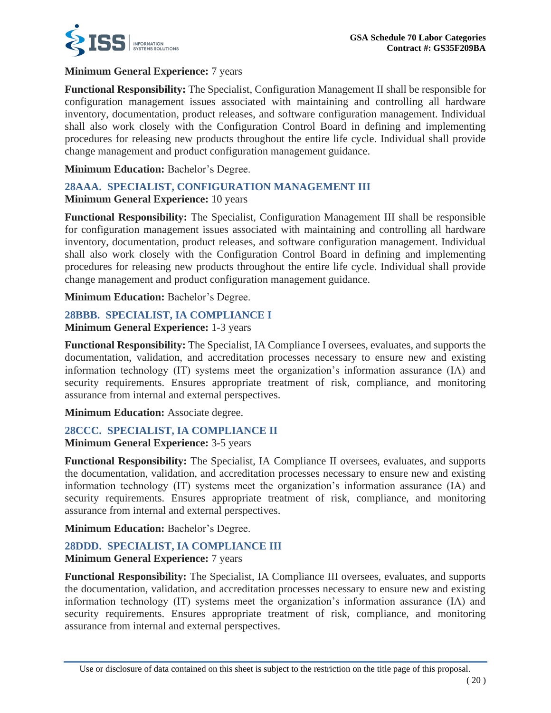

### **Minimum General Experience:** 7 years

**Functional Responsibility:** The Specialist, Configuration Management II shall be responsible for configuration management issues associated with maintaining and controlling all hardware inventory, documentation, product releases, and software configuration management. Individual shall also work closely with the Configuration Control Board in defining and implementing procedures for releasing new products throughout the entire life cycle. Individual shall provide change management and product configuration management guidance.

**Minimum Education:** Bachelor's Degree.

# **28AAA. SPECIALIST, CONFIGURATION MANAGEMENT III**

### **Minimum General Experience:** 10 years

**Functional Responsibility:** The Specialist, Configuration Management III shall be responsible for configuration management issues associated with maintaining and controlling all hardware inventory, documentation, product releases, and software configuration management. Individual shall also work closely with the Configuration Control Board in defining and implementing procedures for releasing new products throughout the entire life cycle. Individual shall provide change management and product configuration management guidance.

**Minimum Education:** Bachelor's Degree.

# **28BBB. SPECIALIST, IA COMPLIANCE I**

**Minimum General Experience:** 1-3 years

**Functional Responsibility:** The Specialist, IA Compliance I oversees, evaluates, and supports the documentation, validation, and accreditation processes necessary to ensure new and existing information technology (IT) systems meet the organization's information assurance (IA) and security requirements. Ensures appropriate treatment of risk, compliance, and monitoring assurance from internal and external perspectives.

**Minimum Education:** Associate degree.

# **28CCC. SPECIALIST, IA COMPLIANCE II**

**Minimum General Experience:** 3-5 years

**Functional Responsibility:** The Specialist, IA Compliance II oversees, evaluates, and supports the documentation, validation, and accreditation processes necessary to ensure new and existing information technology (IT) systems meet the organization's information assurance (IA) and security requirements. Ensures appropriate treatment of risk, compliance, and monitoring assurance from internal and external perspectives.

**Minimum Education:** Bachelor's Degree.

# **28DDD. SPECIALIST, IA COMPLIANCE III**

### **Minimum General Experience:** 7 years

**Functional Responsibility:** The Specialist, IA Compliance III oversees, evaluates, and supports the documentation, validation, and accreditation processes necessary to ensure new and existing information technology (IT) systems meet the organization's information assurance (IA) and security requirements. Ensures appropriate treatment of risk, compliance, and monitoring assurance from internal and external perspectives.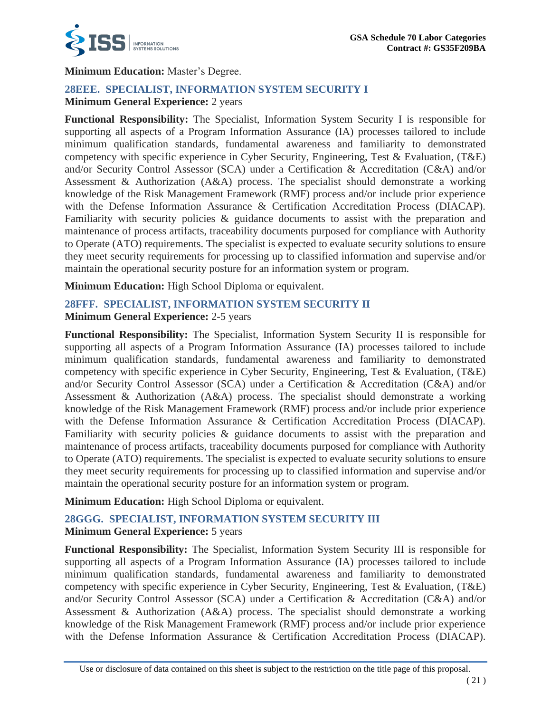

### **Minimum Education:** Master's Degree.

# **28EEE. SPECIALIST, INFORMATION SYSTEM SECURITY I**

### **Minimum General Experience:** 2 years

**Functional Responsibility:** The Specialist, Information System Security I is responsible for supporting all aspects of a Program Information Assurance (IA) processes tailored to include minimum qualification standards, fundamental awareness and familiarity to demonstrated competency with specific experience in Cyber Security, Engineering, Test & Evaluation, (T&E) and/or Security Control Assessor (SCA) under a Certification & Accreditation (C&A) and/or Assessment & Authorization (A&A) process. The specialist should demonstrate a working knowledge of the Risk Management Framework (RMF) process and/or include prior experience with the Defense Information Assurance & Certification Accreditation Process (DIACAP). Familiarity with security policies & guidance documents to assist with the preparation and maintenance of process artifacts, traceability documents purposed for compliance with Authority to Operate (ATO) requirements. The specialist is expected to evaluate security solutions to ensure they meet security requirements for processing up to classified information and supervise and/or maintain the operational security posture for an information system or program.

**Minimum Education:** High School Diploma or equivalent.

### **28FFF. SPECIALIST, INFORMATION SYSTEM SECURITY II Minimum General Experience:** 2-5 years

**Functional Responsibility:** The Specialist, Information System Security II is responsible for supporting all aspects of a Program Information Assurance (IA) processes tailored to include minimum qualification standards, fundamental awareness and familiarity to demonstrated competency with specific experience in Cyber Security, Engineering, Test & Evaluation, (T&E) and/or Security Control Assessor (SCA) under a Certification & Accreditation (C&A) and/or Assessment & Authorization (A&A) process. The specialist should demonstrate a working knowledge of the Risk Management Framework (RMF) process and/or include prior experience with the Defense Information Assurance & Certification Accreditation Process (DIACAP). Familiarity with security policies & guidance documents to assist with the preparation and maintenance of process artifacts, traceability documents purposed for compliance with Authority to Operate (ATO) requirements. The specialist is expected to evaluate security solutions to ensure they meet security requirements for processing up to classified information and supervise and/or maintain the operational security posture for an information system or program.

**Minimum Education:** High School Diploma or equivalent.

# **28GGG. SPECIALIST, INFORMATION SYSTEM SECURITY III Minimum General Experience:** 5 years

**Functional Responsibility:** The Specialist, Information System Security III is responsible for supporting all aspects of a Program Information Assurance (IA) processes tailored to include minimum qualification standards, fundamental awareness and familiarity to demonstrated competency with specific experience in Cyber Security, Engineering, Test & Evaluation, (T&E) and/or Security Control Assessor (SCA) under a Certification & Accreditation (C&A) and/or Assessment & Authorization (A&A) process. The specialist should demonstrate a working knowledge of the Risk Management Framework (RMF) process and/or include prior experience with the Defense Information Assurance & Certification Accreditation Process (DIACAP).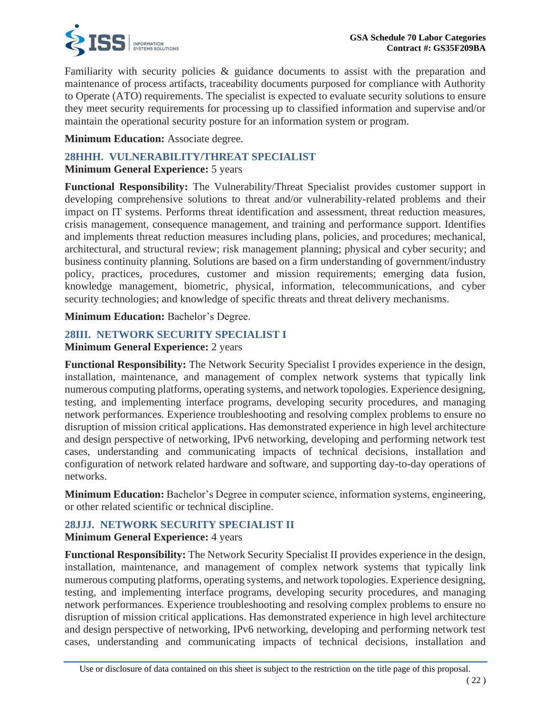

Familiarity with security policies & guidance documents to assist with the preparation and maintenance of process artifacts, traceability documents purposed for compliance with Authority to Operate (ATO) requirements. The specialist is expected to evaluate security solutions to ensure they meet security requirements for processing up to classified information and supervise and/or maintain the operational security posture for an information system or program.

### **Minimum Education:** Associate degree.

# **28HHH. VULNERABILITY/THREAT SPECIALIST**

### **Minimum General Experience:** 5 years

**Functional Responsibility:** The Vulnerability/Threat Specialist provides customer support in developing comprehensive solutions to threat and/or vulnerability-related problems and their impact on IT systems. Performs threat identification and assessment, threat reduction measures, crisis management, consequence management, and training and performance support. Identifies and implements threat reduction measures including plans, policies, and procedures; mechanical, architectural, and structural review; risk management planning; physical and cyber security; and business continuity planning. Solutions are based on a firm understanding of government/industry policy, practices, procedures, customer and mission requirements; emerging data fusion, knowledge management, biometric, physical, information, telecommunications, and cyber security technologies; and knowledge of specific threats and threat delivery mechanisms.

**Minimum Education:** Bachelor's Degree.

# **28III. NETWORK SECURITY SPECIALIST I**

### **Minimum General Experience:** 2 years

**Functional Responsibility:** The Network Security Specialist I provides experience in the design, installation, maintenance, and management of complex network systems that typically link numerous computing platforms, operating systems, and network topologies. Experience designing, testing, and implementing interface programs, developing security procedures, and managing network performances. Experience troubleshooting and resolving complex problems to ensure no disruption of mission critical applications. Has demonstrated experience in high level architecture and design perspective of networking, IPv6 networking, developing and performing network test cases, understanding and communicating impacts of technical decisions, installation and configuration of network related hardware and software, and supporting day-to-day operations of networks.

**Minimum Education:** Bachelor's Degree in computer science, information systems, engineering, or other related scientific or technical discipline.

# **28JJJ. NETWORK SECURITY SPECIALIST II**

### **Minimum General Experience:** 4 years

**Functional Responsibility:** The Network Security Specialist II provides experience in the design, installation, maintenance, and management of complex network systems that typically link numerous computing platforms, operating systems, and network topologies. Experience designing, testing, and implementing interface programs, developing security procedures, and managing network performances. Experience troubleshooting and resolving complex problems to ensure no disruption of mission critical applications. Has demonstrated experience in high level architecture and design perspective of networking, IPv6 networking, developing and performing network test cases, understanding and communicating impacts of technical decisions, installation and